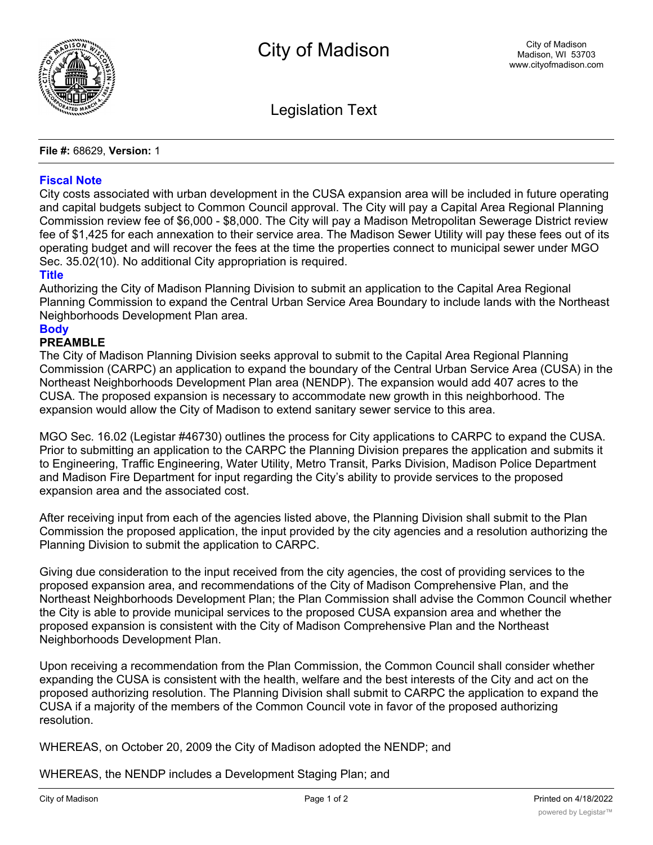

Legislation Text

**File #:** 68629, **Version:** 1

## **Fiscal Note**

City costs associated with urban development in the CUSA expansion area will be included in future operating and capital budgets subject to Common Council approval. The City will pay a Capital Area Regional Planning Commission review fee of \$6,000 - \$8,000. The City will pay a Madison Metropolitan Sewerage District review fee of \$1,425 for each annexation to their service area. The Madison Sewer Utility will pay these fees out of its operating budget and will recover the fees at the time the properties connect to municipal sewer under MGO Sec. 35.02(10). No additional City appropriation is required.

## **Title**

Authorizing the City of Madison Planning Division to submit an application to the Capital Area Regional Planning Commission to expand the Central Urban Service Area Boundary to include lands with the Northeast Neighborhoods Development Plan area.

## **Body**

## **PREAMBLE**

The City of Madison Planning Division seeks approval to submit to the Capital Area Regional Planning Commission (CARPC) an application to expand the boundary of the Central Urban Service Area (CUSA) in the Northeast Neighborhoods Development Plan area (NENDP). The expansion would add 407 acres to the CUSA. The proposed expansion is necessary to accommodate new growth in this neighborhood. The expansion would allow the City of Madison to extend sanitary sewer service to this area.

MGO Sec. 16.02 (Legistar #46730) outlines the process for City applications to CARPC to expand the CUSA. Prior to submitting an application to the CARPC the Planning Division prepares the application and submits it to Engineering, Traffic Engineering, Water Utility, Metro Transit, Parks Division, Madison Police Department and Madison Fire Department for input regarding the City's ability to provide services to the proposed expansion area and the associated cost.

After receiving input from each of the agencies listed above, the Planning Division shall submit to the Plan Commission the proposed application, the input provided by the city agencies and a resolution authorizing the Planning Division to submit the application to CARPC.

Giving due consideration to the input received from the city agencies, the cost of providing services to the proposed expansion area, and recommendations of the City of Madison Comprehensive Plan, and the Northeast Neighborhoods Development Plan; the Plan Commission shall advise the Common Council whether the City is able to provide municipal services to the proposed CUSA expansion area and whether the proposed expansion is consistent with the City of Madison Comprehensive Plan and the Northeast Neighborhoods Development Plan.

Upon receiving a recommendation from the Plan Commission, the Common Council shall consider whether expanding the CUSA is consistent with the health, welfare and the best interests of the City and act on the proposed authorizing resolution. The Planning Division shall submit to CARPC the application to expand the CUSA if a majority of the members of the Common Council vote in favor of the proposed authorizing resolution.

WHEREAS, on October 20, 2009 the City of Madison adopted the NENDP; and

WHEREAS, the NENDP includes a Development Staging Plan; and